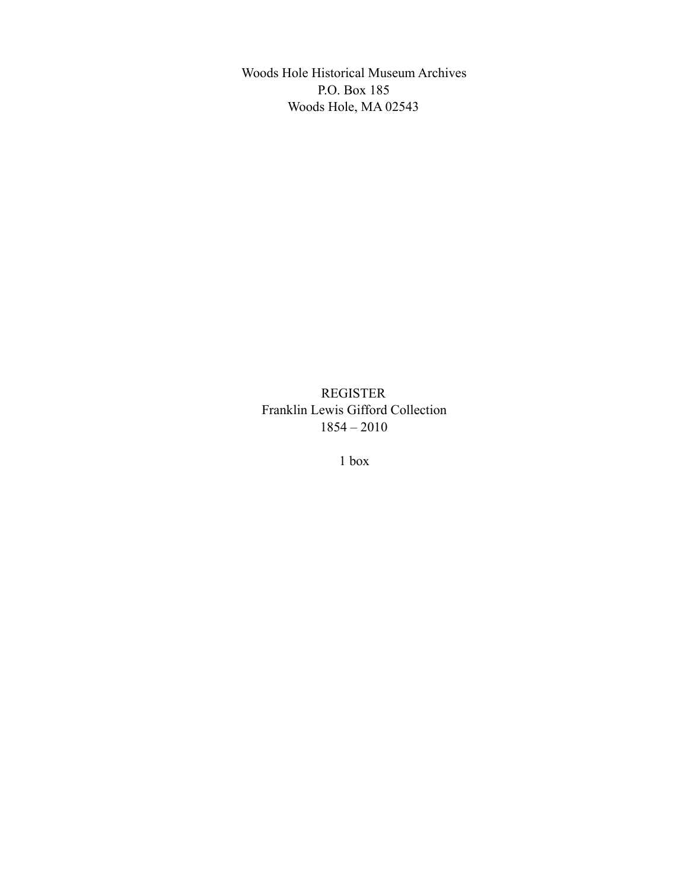Woods Hole Historical Museum Archives P.O. Box 185 Woods Hole, MA 02543

REGISTER Franklin Lewis Gifford Collection 1854 – 2010

1 box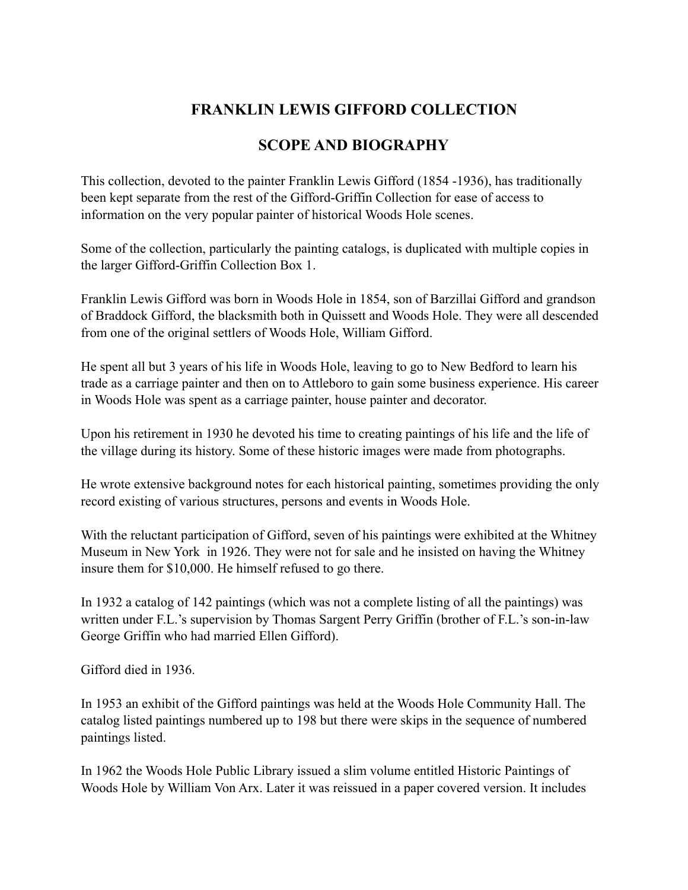## **FRANKLIN LEWIS GIFFORD COLLECTION**

## **SCOPE AND BIOGRAPHY**

This collection, devoted to the painter Franklin Lewis Gifford (1854 -1936), has traditionally been kept separate from the rest of the Gifford-Griffin Collection for ease of access to information on the very popular painter of historical Woods Hole scenes.

Some of the collection, particularly the painting catalogs, is duplicated with multiple copies in the larger Gifford-Griffin Collection Box 1.

Franklin Lewis Gifford was born in Woods Hole in 1854, son of Barzillai Gifford and grandson of Braddock Gifford, the blacksmith both in Quissett and Woods Hole. They were all descended from one of the original settlers of Woods Hole, William Gifford.

He spent all but 3 years of his life in Woods Hole, leaving to go to New Bedford to learn his trade as a carriage painter and then on to Attleboro to gain some business experience. His career in Woods Hole was spent as a carriage painter, house painter and decorator.

Upon his retirement in 1930 he devoted his time to creating paintings of his life and the life of the village during its history. Some of these historic images were made from photographs.

He wrote extensive background notes for each historical painting, sometimes providing the only record existing of various structures, persons and events in Woods Hole.

With the reluctant participation of Gifford, seven of his paintings were exhibited at the Whitney Museum in New York in 1926. They were not for sale and he insisted on having the Whitney insure them for \$10,000. He himself refused to go there.

In 1932 a catalog of 142 paintings (which was not a complete listing of all the paintings) was written under F.L.'s supervision by Thomas Sargent Perry Griffin (brother of F.L.'s son-in-law George Griffin who had married Ellen Gifford).

Gifford died in 1936.

In 1953 an exhibit of the Gifford paintings was held at the Woods Hole Community Hall. The catalog listed paintings numbered up to 198 but there were skips in the sequence of numbered paintings listed.

In 1962 the Woods Hole Public Library issued a slim volume entitled Historic Paintings of Woods Hole by William Von Arx. Later it was reissued in a paper covered version. It includes